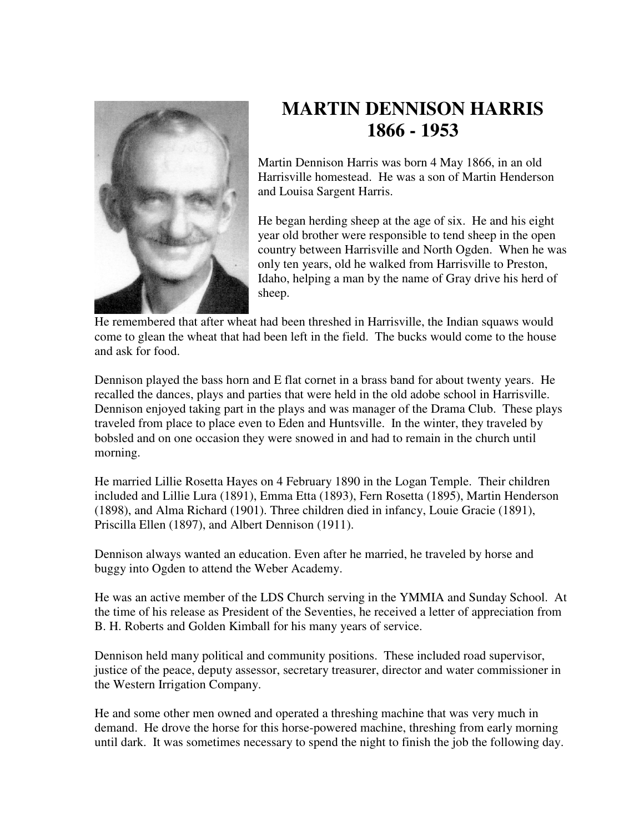

## **MARTIN DENNISON HARRIS 1866 - 1953**

Martin Dennison Harris was born 4 May 1866, in an old Harrisville homestead. He was a son of Martin Henderson and Louisa Sargent Harris.

He began herding sheep at the age of six. He and his eight year old brother were responsible to tend sheep in the open country between Harrisville and North Ogden. When he was only ten years, old he walked from Harrisville to Preston, Idaho, helping a man by the name of Gray drive his herd of sheep.

He remembered that after wheat had been threshed in Harrisville, the Indian squaws would come to glean the wheat that had been left in the field. The bucks would come to the house and ask for food.

Dennison played the bass horn and E flat cornet in a brass band for about twenty years. He recalled the dances, plays and parties that were held in the old adobe school in Harrisville. Dennison enjoyed taking part in the plays and was manager of the Drama Club. These plays traveled from place to place even to Eden and Huntsville. In the winter, they traveled by bobsled and on one occasion they were snowed in and had to remain in the church until morning.

He married Lillie Rosetta Hayes on 4 February 1890 in the Logan Temple. Their children included and Lillie Lura (1891), Emma Etta (1893), Fern Rosetta (1895), Martin Henderson (1898), and Alma Richard (1901). Three children died in infancy, Louie Gracie (1891), Priscilla Ellen (1897), and Albert Dennison (1911).

Dennison always wanted an education. Even after he married, he traveled by horse and buggy into Ogden to attend the Weber Academy.

He was an active member of the LDS Church serving in the YMMIA and Sunday School. At the time of his release as President of the Seventies, he received a letter of appreciation from B. H. Roberts and Golden Kimball for his many years of service.

Dennison held many political and community positions. These included road supervisor, justice of the peace, deputy assessor, secretary treasurer, director and water commissioner in the Western Irrigation Company.

He and some other men owned and operated a threshing machine that was very much in demand. He drove the horse for this horse-powered machine, threshing from early morning until dark. It was sometimes necessary to spend the night to finish the job the following day.